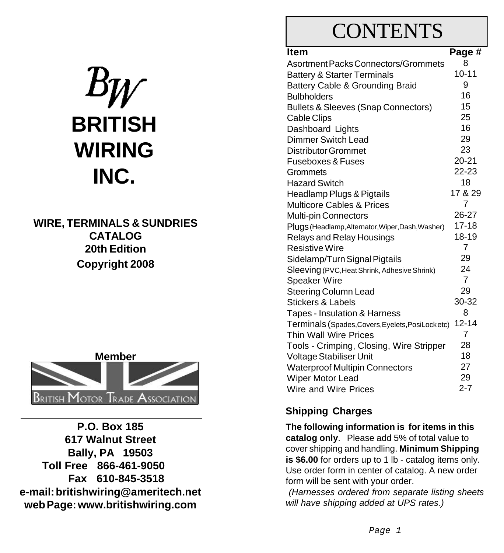# **BRITISH WIRING INC.**

**WIRE, TERMINALS & SUNDRIES CATALOG 20th Edition Copyright 2008**



**P.O. Box 185 617 Walnut Street Bally, PA 19503 Toll Free 866-461-9050 Fax 610-845-3518 e-mail: britishwiring@ameritech.net web Page: www.britishwiring.com**

## **CONTENTS**

| <b>Item</b>                                       | Page #         |
|---------------------------------------------------|----------------|
| Asortment Packs Connectors/Grommets               | 8              |
| <b>Battery &amp; Starter Terminals</b>            | $10 - 11$      |
| Battery Cable & Grounding Braid                   | 9              |
| <b>Bulbholders</b>                                | 16             |
| <b>Bullets &amp; Sleeves (Snap Connectors)</b>    | 15             |
| <b>Cable Clips</b>                                | 25             |
| Dashboard Lights                                  | 16             |
| <b>Dimmer Switch Lead</b>                         | 29             |
| <b>Distributor Grommet</b>                        | 23             |
| Fuseboxes & Fuses                                 | $20 - 21$      |
| Grommets                                          | 22-23          |
| <b>Hazard Switch</b>                              | 18             |
| Headlamp Plugs & Pigtails                         | 17 & 29        |
| <b>Multicore Cables &amp; Prices</b>              | 7              |
| <b>Multi-pin Connectors</b>                       | 26-27          |
| Plugs (Headlamp, Alternator, Wiper, Dash, Washer) | $17 - 18$      |
| Relays and Relay Housings                         | 18-19          |
| <b>Resistive Wire</b>                             | $\overline{7}$ |
| Sidelamp/Turn Signal Pigtails                     | 29             |
| Sleeving (PVC, Heat Shrink, Adhesive Shrink)      | 24             |
| <b>Speaker Wire</b>                               | $\overline{7}$ |
| Steering Column Lead                              | 29             |
| <b>Stickers &amp; Labels</b>                      | 30-32          |
| Tapes - Insulation & Harness                      | 8              |
| Terminals (Spades, Covers, Eyelets, PosiLocketc)  | $12 - 14$      |
| Thin Wall Wire Prices                             | 7              |
| Tools - Crimping, Closing, Wire Stripper          | 28             |
| Voltage Stabiliser Unit                           | 18             |
| <b>Waterproof Multipin Connectors</b>             | 27             |
| Wiper Motor Lead                                  | 29             |
| Wire and Wire Prices                              | $2 - 7$        |

## **Shipping Charges**

**The following information is for items in this catalog only**. Please add 5% of total value to cover shipping and handling. **Minimum Shipping is \$6.00** for orders up to 1 lb - catalog items only. Use order form in center of catalog. A new order form will be sent with your order.

*(Harnesses ordered from separate listing sheets will have shipping added at UPS rates.)*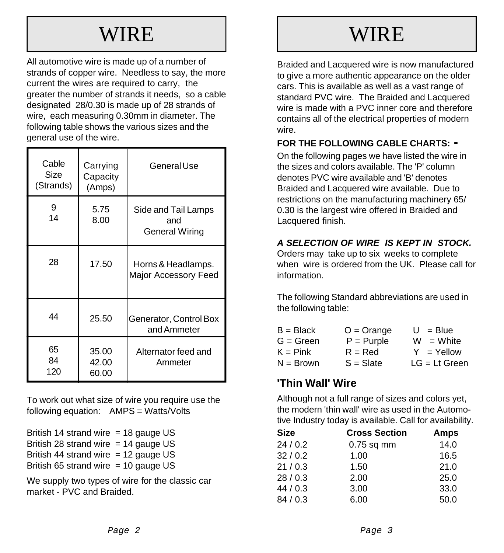## WIRE

All automotive wire is made up of a number of strands of copper wire. Needless to say, the more current the wires are required to carry, the greater the number of strands it needs, so a cable designated 28/0.30 is made up of 28 strands of wire, each measuring 0.30mm in diameter. The following table shows the various sizes and the general use of the wire.

| Cable<br>Size<br>(Strands) | Carrying<br>Capacity<br>(Amps) | General Use                                  |
|----------------------------|--------------------------------|----------------------------------------------|
| 9<br>14                    | 5.75<br>8.00                   | Side and Tail Lamps<br>and<br>General Wiring |
| 28                         | 17.50                          | Horns & Headlamps.<br>Major Accessory Feed   |
| 44                         | 25.50                          | Generator, Control Box<br>and Ammeter        |
| 65<br>84<br>120            | 35.00<br>42.00<br>60.00        | Alternator feed and<br>Ammeter               |

To work out what size of wire you require use the following equation: AMPS = Watts/Volts

British 14 strand wire  $=$  18 gauge US British 28 strand wire  $= 14$  gauge US British 44 strand wire  $= 12$  gauge US British 65 strand wire  $=$  10 gauge US

We supply two types of wire for the classic car market - PVC and Braided.

## **WIRE**

Braided and Lacquered wire is now manufactured to give a more authentic appearance on the older cars. This is available as well as a vast range of standard PVC wire. The Braided and Lacquered wire is made with a PVC inner core and therefore contains all of the electrical properties of modern wire.

### **FOR THE FOLLOWING CABLE CHARTS: -**

On the following pages we have listed the wire in the sizes and colors available. The 'P' column denotes PVC wire available and 'B' denotes Braided and Lacquered wire available. Due to restrictions on the manufacturing machinery 65/ 0.30 is the largest wire offered in Braided and Lacquered finish.

### *A SELECTION OF WIRE IS KEPT IN STOCK.*

Orders may take up to six weeks to complete when wire is ordered from the UK. Please call for information.

The following Standard abbreviations are used in the following table:

| $B = Black$ | $O = Orange$ | $U = Blue$      |
|-------------|--------------|-----------------|
| $G = Green$ | $P = Purple$ | $W = White$     |
| $K = Pink$  | $R = Red$    | $Y = Y$ ellow   |
| $N = Brown$ | $S = S$ late | $LG = Lt$ Green |

## **'Thin Wall' Wire**

Although not a full range of sizes and colors yet, the modern 'thin wall' wire as used in the Automotive Industry today is available. Call for availability.

| <b>Size</b> | <b>Cross Section</b> | Amps |
|-------------|----------------------|------|
| 24/0.2      | $0.75$ sq mm         | 14.0 |
| 32/0.2      | 1.00                 | 16.5 |
| 21/0.3      | 1.50                 | 21.0 |
| 28/0.3      | 2.00                 | 25.0 |
| 44/0.3      | 3.00                 | 33.0 |
| 84/0.3      | 6.00                 | 50.0 |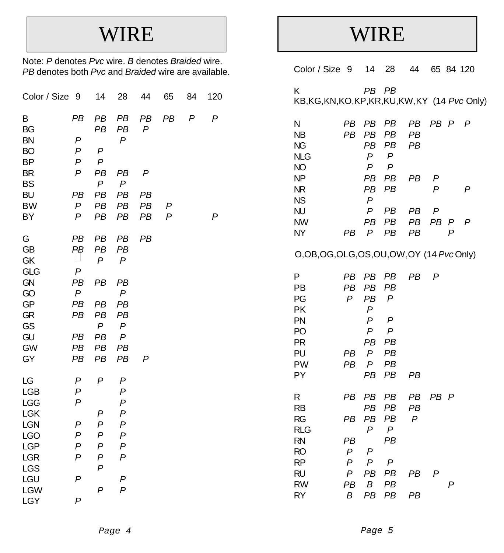## WIRE

Note: *P* denotes *Pvc* wire. *B* denotes *Braided* wire. *PB* denotes both *Pvc* and *Braided* wire are available.

| Color / Size                      | -9                                       | 14                                   | 28                 | 44                     | 65                  | 84               | 120            |  |
|-----------------------------------|------------------------------------------|--------------------------------------|--------------------|------------------------|---------------------|------------------|----------------|--|
| B<br>BG<br><b>BN</b><br><b>BO</b> | PB<br>$\boldsymbol{P}$<br>$\overline{P}$ | PB<br>PB<br>P                        | PB<br>PB<br>P      | PB<br>$\boldsymbol{P}$ | PB                  | $\boldsymbol{P}$ | $\overline{P}$ |  |
| BP<br>BR                          | P<br>$\overline{P}$                      | P<br>PB                              | PB                 | $\boldsymbol{P}$       |                     |                  |                |  |
| <b>BS</b>                         |                                          | $\overline{P}$                       | $\boldsymbol{P}$   |                        |                     |                  |                |  |
| BU                                | PB                                       | PB                                   | PB                 | PB                     |                     |                  |                |  |
| <b>BW</b><br>BY                   | $\overline{P}$<br>$\overline{P}$         | PB<br>PB                             | PB<br>PB           | PB<br>PB               | P<br>$\overline{P}$ |                  | P              |  |
|                                   |                                          |                                      |                    |                        |                     |                  |                |  |
| G                                 | PB                                       | PB                                   | PB                 | PB                     |                     |                  |                |  |
| GB                                | PB                                       | PB<br>$\overline{P}$                 | PB<br>$\mathsf{P}$ |                        |                     |                  |                |  |
| GK<br><b>GLG</b>                  | $\overline{P}$                           |                                      |                    |                        |                     |                  |                |  |
| <b>GN</b>                         | PB                                       | PB                                   | PB                 |                        |                     |                  |                |  |
| GO                                | $\boldsymbol{P}$                         |                                      | $\overline{P}$     |                        |                     |                  |                |  |
| GP                                | PB                                       | PB<br>PB                             | PB                 |                        |                     |                  |                |  |
| <b>GR</b><br>GS                   | PB                                       | P                                    | PB<br>P            |                        |                     |                  |                |  |
| GU                                | PB                                       | PB                                   | P                  |                        |                     |                  |                |  |
| <b>GW</b>                         | PB                                       | PB                                   | PB                 |                        |                     |                  |                |  |
| GY                                | PB                                       | PB                                   | PB                 | $\boldsymbol{P}$       |                     |                  |                |  |
| LG                                | P                                        | P                                    | P                  |                        |                     |                  |                |  |
| <b>LGB</b>                        | P                                        |                                      | $\boldsymbol{P}$   |                        |                     |                  |                |  |
| LGG                               | P                                        |                                      | $\boldsymbol{P}$   |                        |                     |                  |                |  |
| <b>LGK</b>                        |                                          | P                                    | P                  |                        |                     |                  |                |  |
| <b>LGN</b><br><b>LGO</b>          | P<br>$\overline{P}$                      | $\boldsymbol{P}$<br>$\boldsymbol{P}$ | P<br>P             |                        |                     |                  |                |  |
| <b>LGP</b>                        | P                                        | P                                    | P                  |                        |                     |                  |                |  |
| <b>LGR</b>                        | $\boldsymbol{P}$                         | P                                    | P                  |                        |                     |                  |                |  |
| <b>LGS</b>                        |                                          | $\overline{P}$                       |                    |                        |                     |                  |                |  |
| LGU                               | $\boldsymbol{P}$                         |                                      | P                  |                        |                     |                  |                |  |
| <b>LGW</b><br>LGY                 | $\overline{P}$                           | $\boldsymbol{P}$                     | $\overline{P}$     |                        |                     |                  |                |  |
|                                   |                                          |                                      |                    |                        |                     |                  |                |  |

## WIRE

| Color / Size 9                                          |                                       | 14                                                                                         | 28                                                         | 44             |         | 65 84 120 |   |
|---------------------------------------------------------|---------------------------------------|--------------------------------------------------------------------------------------------|------------------------------------------------------------|----------------|---------|-----------|---|
| Κ<br>KB,KG,KN,KO,KP,KR,KU,KW,KY (14 Pvc Only)           |                                       | PB PB                                                                                      |                                                            |                |         |           |   |
| Ν<br>NΒ<br><b>NG</b><br><b>NLG</b><br>NO                | PВ<br>PB                              | PВ<br><b>PB</b><br>PB<br>$\mathsf{P}$<br>$\overline{P}$                                    | PВ<br>PB<br>PB<br>$\mathsf{P}$<br>$\boldsymbol{P}$         | PВ<br>PB<br>PB | PB P    |           | P |
| NΡ<br>ΝR<br><b>NS</b>                                   |                                       | PВ<br>PB<br>$\overline{P}$                                                                 | PВ<br>PB                                                   | PВ             | P<br>P  |           | P |
| NU<br>NW<br>NΥ                                          | PВ                                    | P<br>PB<br>P                                                                               | PВ<br>PB<br>PB                                             | PВ<br>PB<br>PB | P<br>PB | Ρ<br>P    | P |
| O,OB,OG,OLG,OS,OU,OW,OY (14 PvcOnly)                    |                                       |                                                                                            |                                                            |                |         |           |   |
| Ρ<br>PВ<br>PG<br>PΚ<br>PN<br>PO<br>PR<br>PU<br>PW<br>PΥ | PВ<br>PB<br>P<br>PB<br>PB             | PВ<br>PВ<br>PB<br>P<br>P<br>$\overline{P}$<br>PB<br>$\boldsymbol{P}$<br>$\mathsf{P}$<br>PB | PВ<br>PВ<br>P<br>$\mathsf{P}$<br>P<br>PВ<br>PB<br>PB<br>PB | PВ<br>PB       | P       |           |   |
| R<br>RB<br>RG<br>RLG<br>RN<br>RO<br>RP                  | РB<br>PВ<br>PВ<br>$\overline{P}$<br>P | PВ<br>PB<br>PB<br>$\overline{P}$<br>P<br>$\overline{P}$                                    | PB<br>PB<br>PB<br>$\boldsymbol{P}$<br>PВ<br>P              | PВ<br>PB<br>P  | PB P    |           |   |
| RU<br>RW<br>RY                                          | P<br>PB<br>Β                          | PB<br>B<br>PB                                                                              | PB<br>PB<br>PB                                             | PВ<br>PB       | P       | P         |   |
|                                                         |                                       |                                                                                            |                                                            |                |         |           |   |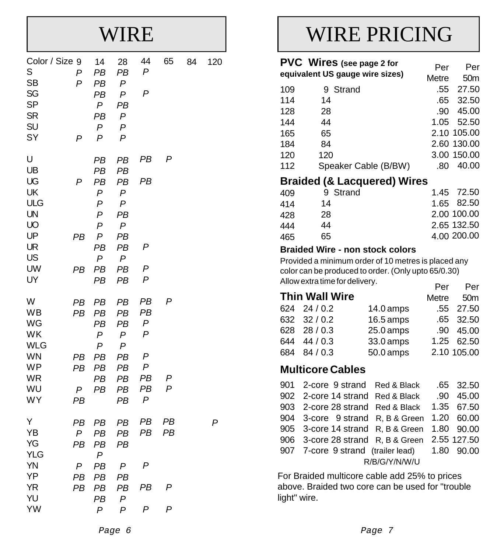## WIRE

| Color / Size 9<br>S<br><b>SB</b><br>SG<br><b>SP</b><br><b>SR</b><br>SU<br>SY         | P<br>P<br>P                               | 14<br>PB<br>PB<br>PB<br>P<br>PB<br>P<br>P                                   | 28<br>PB<br>P<br>P<br>PB<br>P<br>P<br>P                          | 44<br>$\overline{P}$<br>P                                    | 65                 | 84 | 120 |
|--------------------------------------------------------------------------------------|-------------------------------------------|-----------------------------------------------------------------------------|------------------------------------------------------------------|--------------------------------------------------------------|--------------------|----|-----|
| U<br>UB<br>UG<br>UK<br>ULG<br>UN<br>UO<br>UP<br>UR<br>US<br><b>UW</b><br>UY          | P<br>PB<br>PВ                             | PB<br>PB<br>PB<br>P<br>P<br>$\overline{P}$<br>P<br>P<br>PB<br>P<br>PB<br>PB | PВ<br>PВ<br>PB<br>P<br>P<br>PB<br>P<br>PB<br>PB<br>P<br>PB<br>PB | PB<br>PB<br>P<br>P<br>P                                      | P                  |    |     |
| W<br>WB<br>WG<br>WK<br><b>WLG</b><br><b>WN</b><br><b>WP</b><br><b>WR</b><br>WU<br>WY | PB<br>PB<br>PВ<br>PB<br>P<br>PB           | PB<br>PB<br>PB<br>P<br>P<br>PB<br>PB<br>PB<br>PB                            | PB<br>PB<br>PB<br>P<br>P<br>PB<br>PB<br>PB<br>PB<br>PB           | PB<br>PB<br>P<br>P<br>$\boldsymbol{P}$<br>P<br>PB<br>PB<br>P | P<br>Р<br>P        |    |     |
| Υ<br>YB<br>YG<br><b>YLG</b><br><b>YN</b><br>YP<br><b>YR</b><br>YU<br>YW              | PB<br>$\mathsf{P}$<br>PB<br>P<br>PB<br>PB | PB<br>PB<br>PВ<br>P<br>PB<br>PB<br>PB<br>PВ<br>P                            | PB<br>PB<br>PB<br>P<br>PB<br>PB<br>P<br>P                        | PB<br>PB<br>P<br>PB<br>P                                     | PB<br>PB<br>P<br>P |    | P   |

## WIRE PRICING

|     | PVC Wires (see page 2 for       |       |                 |
|-----|---------------------------------|-------|-----------------|
|     |                                 | Per   | Per             |
|     | equivalent US gauge wire sizes) | Metre | 50 <sub>m</sub> |
| 109 | 9 Strand                        |       | .55 27.50       |
| 114 | 14                              |       | .65 32.50       |
| 128 | 28                              | .90   | 45.00           |
| 144 | 44                              |       | 1.05 52.50      |
| 165 | 65                              |       | 2.10 105.00     |
| 184 | 84                              |       | 2.60 130.00     |
| 120 | 120                             |       | 3.00 150.00     |
| 112 | Speaker Cable (B/BW)            | .80   | 40.00           |
|     |                                 |       |                 |

### **Braided (& Lacquered) Wires**

| 409 | 9 Strand | 1.45 72.50  |
|-----|----------|-------------|
| 414 | 14       | 1.65 82.50  |
| 428 | 28       | 2.00 100.00 |
| 444 | 44       | 2.65 132.50 |
| 465 | 65       | 4.00 200.00 |

### **Braided Wire - non stock colors**

Provided a minimum order of 10 metres is placed any color can be produced to order. (Only upto 65/0.30) Allow extra time for delivery. Per Per

| <b>Thin Wall Wire</b> |             | Metre 50m   |
|-----------------------|-------------|-------------|
| $624$ 24 / 0.2        | $14.0$ amps | .55 27.50   |
| 632 32/0.2            | $16.5$ amps | .65 32.50   |
| 628 28 / 0.3          | $25.0$ amps | .90 45.00   |
| 644 44 / 0.3          | 33.0 amps   | 1.25 62.50  |
| 684 84/0.3            | $50.0$ amps | 2.10 105.00 |

### **Multicore Cables**

| 901 2-core 9 strand Red & Black .65 32.50     |               |  |
|-----------------------------------------------|---------------|--|
| 902 2-core 14 strand Red & Black .90 45.00    |               |  |
| 903 2-core 28 strand Red & Black 1.35 67.50   |               |  |
| 904 3-core 9 strand R, B & Green 1.20 60.00   |               |  |
| 905 3-core 14 strand R, B & Green 1.80 90.00  |               |  |
| 906 3-core 28 strand R, B & Green 2.55 127.50 |               |  |
| 907 7-core 9 strand (trailer lead) 1.80 90.00 |               |  |
|                                               | R/B/G/Y/N/W/U |  |

For Braided multicore cable add 25% to prices above. Braided two core can be used for "trouble light" wire.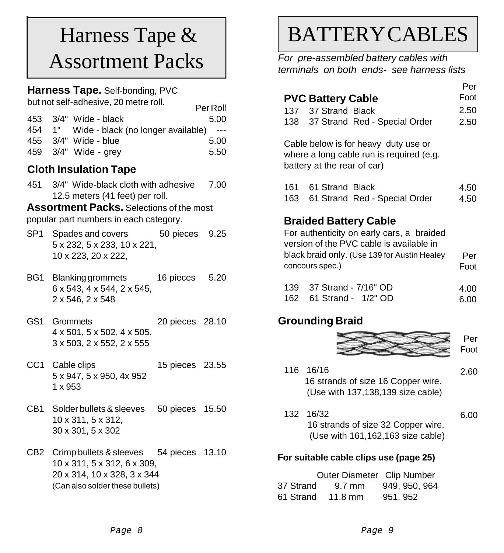## Harness Tape & Assortment Packs

### **Harness Tape.** Self-bonding, PVC

but not self-adhesive, 20 metre roll.

| <u>but not self-aditiesive, zu mette foll.</u><br>Per Roll |      |
|------------------------------------------------------------|------|
| 453 3/4" Wide - black                                      | 5.00 |
| 454 1" Wide - black (no longer available) ---              |      |
| 455 3/4" Wide - blue                                       | 5.00 |
| 459 3/4" Wide - grey                                       | 5.50 |

## **Cloth Insulation Tape**

3/4" Wide-black cloth with adhesive 451 12.5 meters (41 feet) per roll. 7.00

**Assortment Packs.** Selections of the most popular part numbers in each category.

- SP1 Spades and covers 50 pieces 9.25 5 x 232, 5 x 233, 10 x 221, 10 x 223, 20 x 222,
- BG1 Blanking grommets 16 pieces 5.20 6 x 543, 4 x 544, 2 x 545, 2 x 546, 2 x 548
- GS1 Grommets 20 pieces 28.10 4 x 501, 5 x 502, 4 x 505, 3 x 503, 2 x 552, 2 x 555
- CC1 Cable clips 15 pieces 23.55 5 x 947, 5 x 950, 4x 952 1 x 953
- CB1 Solder bullets & sleeves 50 pieces 15.50 10 x 311, 5 x 312, 30 x 301, 5 x 302
- CB2 Crimp bullets & sleeves 54 pieces 13.10 10 x 311, 5 x 312, 6 x 309, 20 x 314, 10 x 328, 3 x 344 (Can also solder these bullets)

## BATTERY CABLES

*For pre-assembled battery cables with terminals on both ends- see harness lists*

|                                                                                                                                                                       | Per  |
|-----------------------------------------------------------------------------------------------------------------------------------------------------------------------|------|
| <b>PVC Battery Cable</b>                                                                                                                                              | Foot |
| 137 37 Strand Black                                                                                                                                                   | 2.50 |
| 138 37 Strand Red - Special Order                                                                                                                                     | 2.50 |
| Cable below is for heavy duty use or<br>where a long cable run is required (e.g.<br>battery at the rear of car)                                                       |      |
| 161 61 Strand Black                                                                                                                                                   | 4.50 |
| 163 -<br>61 Strand Red - Special Order                                                                                                                                | 4.50 |
| <b>Braided Battery Cable</b><br>For authenticity on early cars, a braided<br>version of the PVC cable is available in<br>black braid only. (Use 139 for Austin Healey | Per  |
| concours spec.)                                                                                                                                                       | Foot |

| 139 37 Strand - 7/16" OD | 4.00 |
|--------------------------|------|
| 162 61 Strand - 1/2" OD  | 6.00 |

## **Grounding Braid**



- 116 16/16 16 strands of size 16 Copper wire. (Use with 137,138,139 size cable) 2.60
- 132 16/32 16 strands of size 32 Copper wire. (Use with 161,162,163 size cable) 6.00

### **For suitable cable clips use (page 25)**

 Outer Diameter Clip Number 37 Strand 9.7 mm 949, 950, 964 61 Strand 11.8 mm 951, 952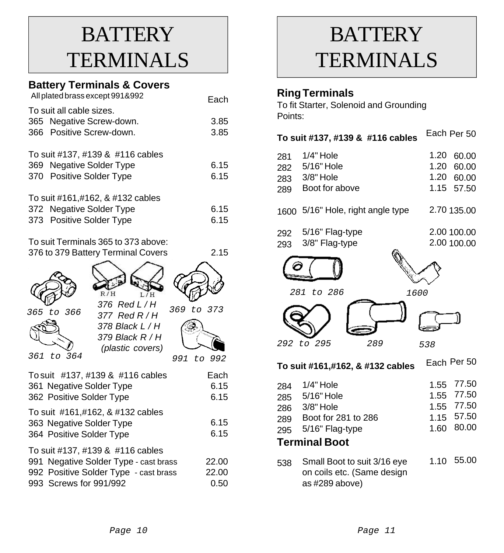## **BATTERY TERMINALS**

## **Battery Terminals & Covers**

| All plated brass except 991&992                                                          | Each         |
|------------------------------------------------------------------------------------------|--------------|
| To suit all cable sizes.<br>365 Negative Screw-down.<br>366 Positive Screw-down.         | 3.85<br>3.85 |
| To suit #137, #139 & #116 cables<br>369 Negative Solder Type<br>370 Positive Solder Type | 6.15<br>6.15 |
| To suit #161,#162, & #132 cables<br>372 Negative Solder Type<br>373 Positive Solder Type | 6.15<br>6.15 |
| To suit Terminals 365 to 373 above:                                                      |              |

| TU SUIL FUTHINGIS JUJ LU J7 J ADUVU. |      |
|--------------------------------------|------|
| 376 to 379 Battery Terminal Covers   | 2.15 |
|                                      |      |

| R/H<br>I/H<br>376 Red L / H<br>365 to 366<br>377 Red R / H<br>378 Black L / H<br>379 Black R / H<br>(plastic covers)<br>361 to 364              | 369 to 373<br>to 992<br>991 |
|-------------------------------------------------------------------------------------------------------------------------------------------------|-----------------------------|
| To suit #137, #139 & #116 cables<br>361 Negative Solder Type<br>362 Positive Solder Type                                                        | Each<br>6.15<br>6.15        |
| To suit #161,#162, & #132 cables<br>363 Negative Solder Type<br>364 Positive Solder Type                                                        | 6.15<br>6.15                |
| To suit #137, #139 & #116 cables<br>Negative Solder Type - cast brass<br>991<br>992 Positive Solder Type - cast brass<br>993 Screws for 991/992 | 22.00<br>22.00<br>0.50      |

## **BATTERY TERMINALS**

## **Ring Terminals**

To fit Starter, Solenoid and Grounding Points:

| Each Per 50<br>To suit #137, #139 & #116 cables |                                  |      |             |  |  |
|-------------------------------------------------|----------------------------------|------|-------------|--|--|
| 281                                             | 1/4" Hole                        | 1.20 | 60.00       |  |  |
| 282                                             | 5/16" Hole                       | 1.20 | 60.00       |  |  |
| 283                                             | 3/8" Hole                        | 1.20 | 60.00       |  |  |
| 289                                             | Boot for above                   | 1.15 | 57.50       |  |  |
| 1600                                            | 5/16" Hole, right angle type     |      | 2.70 135.00 |  |  |
| 292                                             | 5/16" Flag-type                  |      | 2.00 100.00 |  |  |
| 293                                             | 3/8" Flag-type                   |      | 2.00 100.00 |  |  |
| 281                                             | to 286<br>1600                   |      |             |  |  |
|                                                 |                                  |      |             |  |  |
| 292                                             | to 295<br>289                    | 538  |             |  |  |
|                                                 | To suit #161,#162, & #132 cables |      | Each Per 50 |  |  |
| 284                                             | $1/4"$ Hole                      | 1.55 | 77.50       |  |  |
| 285                                             | 5/16" Hole                       | 1.55 | 77.50       |  |  |
| 286                                             | 3/8" Hole                        | 1.55 | 77.50       |  |  |
| 289                                             | Boot for 281 to 286              | 1.15 | 57.50       |  |  |
| 295                                             | 80.00<br>5/16" Flag-type<br>1.60 |      |             |  |  |
| <b>Terminal Boot</b>                            |                                  |      |             |  |  |
|                                                 |                                  |      |             |  |  |

as #289 above)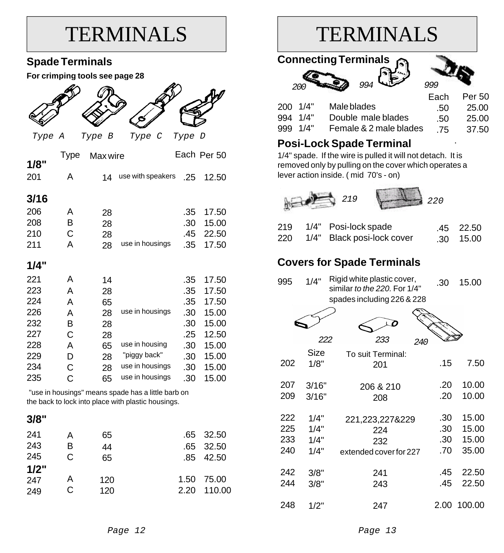## **TERMINALS**

## **Spade Terminals**

**For crimping tools see page 28**

|  | dI |
|--|----|
|  | D. |

 *Type A Type B Type C Type D*

| 1/8" | Type | Max wire |                   |     | Each Per 50 |
|------|------|----------|-------------------|-----|-------------|
| 201  | Α    | 14       | use with speakers | .25 | 12.50       |
| 3/16 |      |          |                   |     |             |
| 206  | Α    | 28       |                   | .35 | 17.50       |
| 208  | в    | 28       |                   | .30 | 15.00       |
| 210  | С    | 28       |                   | .45 | 22.50       |
| 211  | A    | 28       | use in housings   | .35 | 17.50       |
| 1/4" |      |          |                   |     |             |
| 221  | Α    | 14       |                   | .35 | 17.50       |
| 223  | A    | 28       |                   | .35 | 17.50       |
| 224  | A    | 65       |                   | .35 | 17.50       |
| 226  | A    | 28       | use in housings   | .30 | 15.00       |
| 232  | B    | 28       |                   | .30 | 15.00       |
| 227  | С    | 28       |                   | .25 | 12.50       |
| 228  | A    | 65       | use in housing    | .30 | 15.00       |
| 229  | D    | 28       | "piggy back"      | .30 | 15.00       |
| 234  | С    | 28       | use in housings   | .30 | 15.00       |
| 235  | С    | 65       | use in housings   | .30 | 15.00       |

"use in housings" means spade has a little barb on the back to lock into place with plastic housings.

### **3/8"**

| А | 65  |      | .65 32.50   |
|---|-----|------|-------------|
| в | 44  |      | .65 32.50   |
| C | 65  |      | .85 42.50   |
|   |     |      |             |
| A | 120 | 1.50 | 75.00       |
| C | 120 |      | 2.20 110.00 |
|   |     |      |             |

## TERMINALS

| <b>Connecting Terminals</b><br>994<br>999<br>20C |                        |      |        |  |
|--------------------------------------------------|------------------------|------|--------|--|
|                                                  |                        | Each | Per 50 |  |
| 1/4"<br>200                                      | Male blades            | .50  | 25.00  |  |
| 1/4"<br>994                                      | Double male blades     | .50  | 25.00  |  |
| 1/4"<br>999                                      | Female & 2 male blades | .75  | 37.50  |  |
| <b>Posi-Lock Spade Terminal</b>                  |                        |      |        |  |

1/4" spade. If the wire is pulled it will not detach. It is removed only by pulling on the cover which operates a lever action inside. ( mid 70's - on)



|  | 219 1/4" Posi-lock spade       | .45 22.50         |
|--|--------------------------------|-------------------|
|  | 220 1/4" Black posi-lock cover | $.30 \quad 15.00$ |

## **Covers for Spade Terminals**

| 995 | Rigid white plastic cover,<br>1/4"<br>similar to the 220. For 1/4" |                            |      | 15.00  |
|-----|--------------------------------------------------------------------|----------------------------|------|--------|
|     |                                                                    | spades including 226 & 228 |      |        |
|     |                                                                    |                            |      |        |
|     | 222                                                                | 233<br>240                 |      |        |
|     | Size                                                               | To suit Terminal:          |      |        |
| 202 | 1/8"                                                               | 201                        | .15  | 7.50   |
|     |                                                                    |                            |      |        |
| 207 | 3/16"                                                              | 206 & 210                  | .20  | 10.00  |
| 209 | 3/16"                                                              | 208                        | .20  | 10.00  |
| 222 | 1/4"                                                               | 221,223,227&229            | .30  | 15.00  |
| 225 | 1/4"                                                               |                            | .30  | 15.00  |
|     |                                                                    | 224                        |      |        |
| 233 | 1/4"                                                               | 232                        | .30  | 15.00  |
| 240 | 1/4"                                                               | extended cover for 227     | .70  | 35.00  |
| 242 | 3/8"                                                               | 241                        | .45  | 22.50  |
| 244 | 3/8"                                                               | 243                        | .45  | 22.50  |
|     |                                                                    |                            |      |        |
| 248 | 1/2"                                                               | 247                        | 2.00 | 100.00 |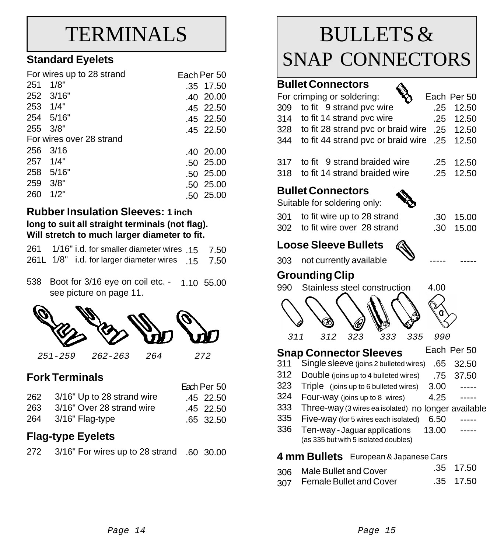## TERMINALS

## **Standard Eyelets**

|          | For wires up to 28 strand | Fach Per 50 |
|----------|---------------------------|-------------|
| 251      | 1/8"                      | .35 17.50   |
|          | 252 3/16"                 | .40 20.00   |
| 253 1/4" |                           | .45 22.50   |
|          | 254 5/16"                 | .45 22.50   |
| 255      | 3/8"                      | .45 22.50   |
|          | For wires over 28 strand  |             |
| 256      | 3/16                      | .40 20.00   |
| 257      | 1/4"                      | .50 25.00   |
| 258      | 5/16"                     | .50 25.00   |
| 259      | 3/8"                      | .50 25.00   |
| 260      | 1/2"                      | .50 25.00   |

### **Rubber Insulation Sleeves: 1 inch long to suit all straight terminals (not flag). Will stretch to much larger diameter to fit.**

|  | 261 1/16" i.d. for smaller diameter wires 15 7.50 |  |
|--|---------------------------------------------------|--|
|  | 261L 1/8" i.d. for larger diameter wires 15 7.50  |  |

538 Boot for 3/16 eye on coil etc. - 1.10 55.00 see picture on page 11.



## **Fork Terminals**

|                                | Each Per 50 |
|--------------------------------|-------------|
| 262 3/16" Up to 28 strand wire | .45 22.50   |
| 263 3/16" Over 28 strand wire  | .45 22.50   |
| 264 3/16" Flag-type            | .65 32.50   |

### **Flag-type Eyelets**

|  | 272 3/16" For wires up to 28 strand .60 30.00 |  |  |
|--|-----------------------------------------------|--|--|
|--|-----------------------------------------------|--|--|

## BULLETS & SNAP CONNECTORS

 $\Lambda$ 

### **Bullet Connectors**

| For crimping or soldering:                       | Each Per 50       |
|--------------------------------------------------|-------------------|
| 309 to fit 9 strand pvc wire                     | $.25$ 12.50       |
| 314 to fit 14 strand pvc wire                    | $.25 \quad 12.50$ |
| 328 to fit 28 strand pvc or braid wire .25 12.50 |                   |
| 344 to fit 44 strand pvc or braid wire .25 12.50 |                   |
|                                                  |                   |

| 317 to fit 9 strand braided wire  | .25 12.50 |
|-----------------------------------|-----------|
| 318 to fit 14 strand braided wire | .25 12.50 |

### **Bullet Connectors**

Suitable for soldering only:

| ble for soldering only:     | $\mathbf{v}_{\mathbf{z}}$ |
|-----------------------------|---------------------------|
| to fit wire up to 28 strand |                           |

| .30 | 15.00 |
|-----|-------|
| .30 | 15.00 |

-----

-----

## **Loose Sleeve Bullets**

302 to fit wire over 28 strand

not currently available 303

### **Grounding Clip**

301



#### Each Per 50 **Snap Connector Sleeves**

- Single sleeve (joins 2 bulleted wires) 311 .65 32.50
- Double (joins up to 4 bulleted wires) 312 .75 37.50
- Triple (joins up to 6 bulleted wires) 323 3.00 -----
- Four-way (joins up to 8 wires) 324 4.25 -----
- 333 Three-way (3 wires ea isolated) no longer available
- Five-way (for 5 wires each isolated) 335 6.50 -----
- Ten-way Jaguar applications (as 335 but with 5 isolated doubles) 336 13.00 -----

### **4 mm Bullets** European & Japanese Cars

- 306 .35 17.50 Male Bullet and Cover
- 307 .35 17.50 Female Bullet and Cover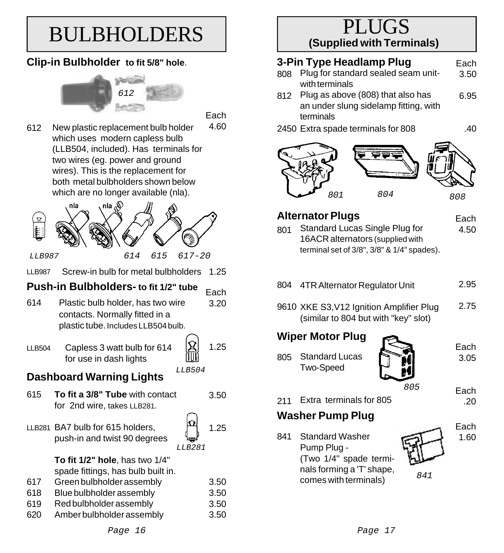## BULBHOLDERS

## **Clip-in Bulbholder to fit 5/8" hole**.



**Each** 

New plastic replacement bulb holder which uses modern capless bulb (LLB504, included). Has terminals for two wires (eg. power and ground wires). This is the replacement for both metal bulbholders shown below which are no longer available (nla). 4.60 612



LLB987 Screw-in bulb for metal bulbholders 1.25

#### **Push-in Bulbholders- to fit 1/2" tube Each**

- Plastic bulb holder, has two wire contacts. Normally fitted in a plastic tube. Includes LLB504 bulb. 614 3.20
- LLB504 Capless 3 watt bulb for 614 for use in dash lights
- 1.25

*LLB504*

## **Dashboard Warning Lights**

- **To fit a 3/8" Tube** with contact for 2nd wire, takes LLB281. 615
- 

3.50

LLB281 BA7 bulb for 615 holders, push-in and twist 90 degrees



- **To fit 1/2" hole**, has two 1/4" spade fittings, has bulb built in.
- Green bulbholder assembly Blue bulbholder assembly Red bulbholder assembly 617 618 619 3.50 3.50 3.50
- Amber bulbholder assembly 620 3.50

## PLUGS **(Supplied with Terminals)**

#### **3-Pin Type Headlamp Plug** Each

- 808 Plug for standard sealed seam unitwith terminals 3.50
- 812 Plug as above (808) that also has an under slung sidelamp fitting, with terminals 6.95
- 2450 Extra spade terminals for 808

.40



### **Alternator Plugs**

Each 4.50

- 801 Standard Lucas Single Plug for 16ACR alternators (supplied with terminal set of 3/8", 3/8" & 1/4" spades).
- 804 4TR Alternator Regulator Unit 2.95
- 9610 XKE S3,V12 Ignition Amplifier Plug (similar to 804 but with "key" slot) 2.75

## **Wiper Motor Plug**

805 Standard Lucas Two-Speed



211 Extra terminals for 805

## **Washer Pump Plug**

Standard Washer Pump Plug - (Two 1/4" spade terminals forming a 'T' shape, comes with terminals) *<sup>841</sup>* 841

Each 1.60

.20

3.05

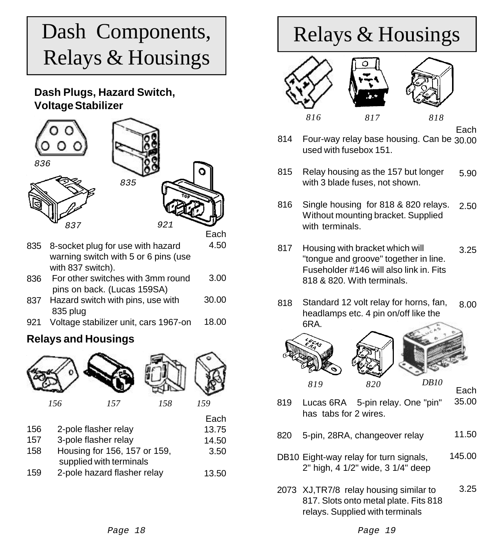## Dash Components, Relays & Housings

## **Dash Plugs, Hazard Switch, Voltage Stabilizer**



- 835 8-socket plug for use with hazard warning switch with 5 or 6 pins (use with 837 switch). 4.50
- 836 For other switches with 3mm round pins on back. (Lucas 159SA) 3.00
- 837 Hazard switch with pins, use with 835 plug 30.00
- Voltage stabilizer unit, cars 1967-on 921 18.00

## **Relays and Housings**



| 156 | 2-pole flasher relay         | 13.75 |
|-----|------------------------------|-------|
| 157 | 3-pole flasher relay         | 14.50 |
| 158 | Housing for 156, 157 or 159, | 3.50  |
|     | supplied with terminals      |       |
| 159 | 2-pole hazard flasher relay  | 13.50 |

## Relays & Housings





- Each
- 814 Four-way relay base housing. Can be 30.00 used with fusebox 151.
- 815 Relay housing as the 157 but longer with 3 blade fuses, not shown. 5.90
- 816 Single housing for 818 & 820 relays. Without mounting bracket. Supplied with terminals 2.50
- 817 Housing with bracket which will "tongue and groove" together in line. Fuseholder #146 will also link in. Fits 818 & 820. With terminals. 3.25
- 818 Standard 12 volt relay for horns, fan, headlamps etc. 4 pin on/off like the 6RA. 8.00



Each

- 819 Lucas 6RA 5-pin relay. One "pin" has tabs for 2 wires. 35.00
- 820 5-pin, 28RA, changeover relay 11.50
- DB10 Eight-way relay for turn signals, 2" high, 4 1/2" wide, 3 1/4" deep 145.00
- 2073 XJ,TR7/8 relay housing similar to 817. Slots onto metal plate. Fits 818 relays. Supplied with terminals 3.25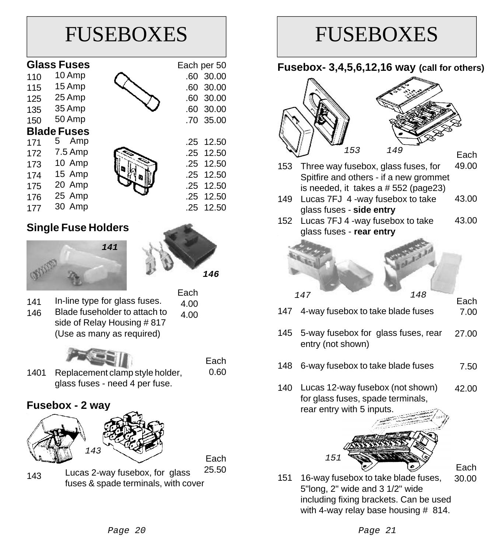

```
FUSEBOXES
Fusebox- 3,4,5,6,12,16 way (call for others)
     Three way fusebox, glass fuses, for
     Spitfire and others - if a new grommet
     is needed, it takes a # 552 (page23)
Lucas 7FJ 4 -way fusebox to take
149
     glass fuses - side entry
152 Lucas 7FJ 4 -way fusebox to take
     glass fuses - rear entry
                                        Each
                                        49.00
                                        43.00
                                        43.00
     4-way fusebox to take blade fuses
     5-way fusebox for glass fuses, rear
     entry (not shown)
     6-way fusebox to take blade fuses
140 Lucas 12-way fusebox (not shown)
     for glass fuses, spade terminals,
     rear entry with 5 inputs.
145
148
                                        Each
                                         7.00
                                        27.00
                                         7.50
                                        42.00
    147 148
153
               153 149
```
147

16-way fusebox to take blade fuses, 5"long, 2" wide and 3 1/2" wide including fixing brackets. Can be used with 4-way relay base housing # 814. 151 30.00

*151*

Each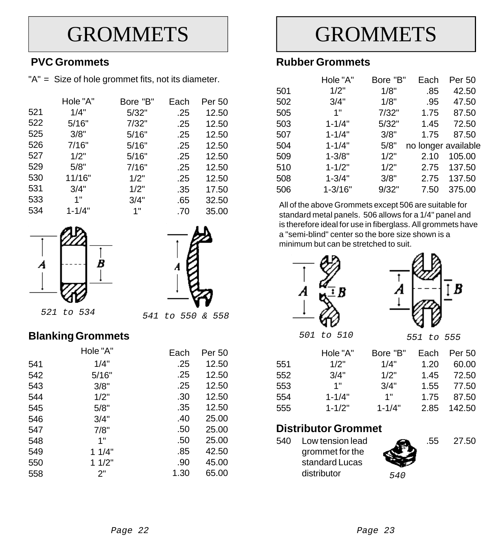## **GROMMETS**

## **PVC Grommets**

"A" = Size of hole grommet fits, not its diameter.

|     | Hole "A"   | Bore "B" | Each | Per 50 |
|-----|------------|----------|------|--------|
| 521 | 1/4"       | 5/32"    | .25  | 12.50  |
| 522 | 5/16"      | 7/32"    | .25  | 12.50  |
| 525 | 3/8"       | 5/16"    | .25  | 12.50  |
| 526 | 7/16"      | 5/16"    | .25  | 12.50  |
| 527 | 1/2"       | 5/16"    | .25  | 12.50  |
| 529 | 5/8"       | 7/16"    | .25  | 12.50  |
| 530 | 11/16"     | 1/2"     | .25  | 12.50  |
| 531 | 3/4"       | 1/2"     | .35  | 17.50  |
| 533 | 1"         | 3/4"     | .65  | 32.50  |
| 534 | $1 - 1/4"$ | 1"       | .70  | 35.00  |





*541 to 550 & 558 521 to 534*

## **Blanking Grommets**

|     | Hole "A" | Each | Per 50 |
|-----|----------|------|--------|
| 541 | 1/4"     | .25  | 12.50  |
| 542 | 5/16"    | .25  | 12.50  |
| 543 | 3/8"     | .25  | 12.50  |
| 544 | 1/2"     | .30  | 12.50  |
| 545 | 5/8"     | .35  | 12.50  |
| 546 | 3/4"     | .40  | 25.00  |
| 547 | 7/8"     | .50  | 25.00  |
| 548 | 1"       | .50  | 25.00  |
| 549 | 11/4"    | .85  | 42.50  |
| 550 | 11/2"    | .90  | 45.00  |
| 558 | 2"       | 1.30 | 65.00  |

**GROMMETS** 

## **Rubber Grommets**

|     | Hole "A"    | Bore "B" | Each | Per 50              |
|-----|-------------|----------|------|---------------------|
| 501 | 1/2"        | 1/8"     | .85  | 42.50               |
| 502 | 3/4"        | 1/8"     | .95  | 47.50               |
| 505 | 1"          | 7/32"    | 1.75 | 87.50               |
| 503 | $1 - 1/4"$  | 5/32"    | 1.45 | 72.50               |
| 507 | $1 - 1/4"$  | 3/8"     | 1.75 | 87.50               |
| 504 | $1 - 1/4"$  | 5/8"     |      | no longer available |
| 509 | $1 - 3/8"$  | 1/2"     | 2.10 | 105.00              |
| 510 | $1 - 1/2"$  | 1/2"     | 2.75 | 137.50              |
| 508 | $1 - 3/4"$  | 3/8"     | 2.75 | 137.50              |
| 506 | $1 - 3/16"$ | 9/32"    | 7.50 | 375.00              |
|     |             |          |      |                     |

All of the above Grommets except 506 are suitable for standard metal panels. 506 allows for a 1/4" panel and is therefore ideal for use in fiberglass. All grommets have a "semi-blind" center so the bore size shown is a minimum but can be stretched to suit.





*501 to 510 551 to 555*

|     | Hole "A"   | Bore "B"   | Each | Per 50 |
|-----|------------|------------|------|--------|
| 551 | 1/2"       | 1/4"       | 1.20 | 60.00  |
| 552 | 3/4"       | 1/2"       | 1.45 | 72.50  |
| 553 | 1"         | 3/4"       | 1.55 | 77.50  |
| 554 | $1 - 1/4"$ | 1"         | 1.75 | 87.50  |
| 555 | $1 - 1/2"$ | $1 - 1/4"$ | 2.85 | 142.50 |

### **Distributor Grommet**

540 Low tension lead grommet for the standard Lucas distributor



27.50

*540*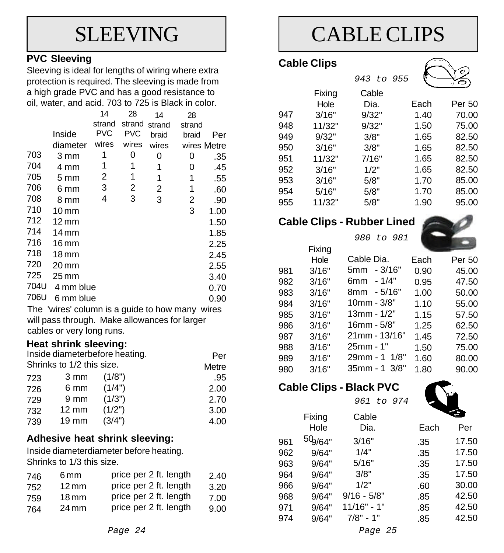## SLEEVING

### **PVC Sleeving**

Sleeving is ideal for lengths of wiring where extra protection is required. The sleeving is made from a high grade PVC and has a good resistance to oil, water, and acid. 703 to 725 is Black in color.

|                                                 |                    | 14         | 28         | 14     | 28          |      |
|-------------------------------------------------|--------------------|------------|------------|--------|-------------|------|
|                                                 |                    | strand     | strand     | strand | strand      |      |
|                                                 | Inside             | <b>PVC</b> | <b>PVC</b> | braid  | braid       | Per  |
|                                                 | diameter           | wires      | wires      | wires  | wires Metre |      |
| 703                                             | 3 mm               | 1          | 0          | 0      | 0           | .35  |
| 704                                             | 4 mm               | 1          | 1          | 1      | 0           | .45  |
| 705                                             | 5 mm               | 2          | 1          | 1      | 1           | .55  |
| 706                                             | 6 mm               | 3          | 2          | 2      | 1           | .60  |
| 708                                             | 8 mm               | 4          | 3          | 3      | 2           | .90  |
| 710                                             | $10 \,\mathrm{mm}$ |            |            |        | 3           | 1.00 |
| 712                                             | $12 \,\mathrm{mm}$ |            |            |        |             | 1.50 |
| 714                                             | $14 \,\mathrm{mm}$ |            |            |        |             | 1.85 |
| 716                                             | $16 \,\mathrm{mm}$ |            |            |        |             | 2.25 |
| 718                                             | $18 \,\mathrm{mm}$ |            |            |        |             | 2.45 |
| 720                                             | $20 \,\mathrm{mm}$ |            |            |        |             | 2.55 |
| 725                                             | 25 mm              |            |            |        |             | 3.40 |
| 704U                                            | 4 mm blue          |            |            |        |             | 0.70 |
| 706U                                            | 6 mm blue          |            |            |        |             | 0.90 |
| The 'wires' column is a guide to how many wires |                    |            |            |        |             |      |
| will pass through. Make allowances for larger   |                    |            |            |        |             |      |
| cables or very long runs.                       |                    |            |            |        |             |      |

### **Heat shrink sleeving:**

| Inside diameterbefore heating. | Per             |        |       |
|--------------------------------|-----------------|--------|-------|
| Shrinks to 1/2 this size.      |                 |        | Metre |
| 723                            | 3 mm            | (1/8") | .95   |
| 726                            | 6 mm            | (1/4") | 2.00  |
| 729                            | 9 <sub>mm</sub> | (1/3") | 2.70  |
| 732                            | $12 \text{ mm}$ | (1/2") | 3.00  |
| 739                            | $19 \text{ mm}$ | (3/4") | 4.00  |

### **Adhesive heat shrink sleeving:**

Inside diameterdiameter before heating. Shrinks to 1/3 this size.

| 6 mm               | price per 2 ft. length | 2.40 |
|--------------------|------------------------|------|
| $12 \,\mathrm{mm}$ | price per 2 ft. length | 3.20 |
| $18 \,\mathrm{mm}$ | price per 2 ft. length | 7.00 |
| 24 mm              | price per 2 ft. length | 9.00 |
|                    |                        |      |

## CABLE CLIPS

## **Cable Clips**



### **Cable Clips - Rubber Lined**

11/32"



95.00

1.90

|     |        | to 981<br>980      |      |        |
|-----|--------|--------------------|------|--------|
|     | Fixing |                    |      |        |
|     | Hole   | Cable Dia.         | Each | Per 50 |
| 981 | 3/16"  | $-3/16"$<br>5mm    | 0.90 | 45.00  |
| 982 | 3/16"  | - 1/4"<br>6mm      | 0.95 | 47.50  |
| 983 | 3/16"  | - 5/16"<br>8mm     | 1.00 | 50.00  |
| 984 | 3/16"  | $10$ mm - $3/8"$   | 1.10 | 55.00  |
| 985 | 3/16"  | 13mm - 1/2"        | 1.15 | 57.50  |
| 986 | 3/16"  | 16mm - 5/8"        | 1.25 | 62.50  |
| 987 | 3/16"  | 21mm - 13/16"      | 1.45 | 72.50  |
| 988 | 3/16"  | 25mm - 1"          | 1.50 | 75.00  |
| 989 | 3/16"  | 29mm - 1<br>1/8"   | 1.60 | 80.00  |
| 980 | 3/16"  | $35$ mm - 1 $3/8"$ | 1.80 | 90.00  |

5/8"

## **Cable Clips - Black PVC**

|     |                     | 961 to 974    |      |       |
|-----|---------------------|---------------|------|-------|
|     | Fixing              | Cable         |      |       |
|     | Hole                | Dia.          | Each | Per   |
| 961 | 50 <sub>9/64"</sub> | 3/16"         | .35  | 17.50 |
| 962 | 9/64"               | 1/4"          | .35  | 17.50 |
| 963 | 9/64"               | 5/16"         | .35  | 17.50 |
| 964 | 9/64"               | 3/8"          | .35  | 17.50 |
| 966 | 9/64"               | 1/2"          | .60  | 30.00 |
| 968 | 9/64"               | $9/16 - 5/8"$ | .85  | 42.50 |
| 971 | 9/64"               | $11/16" - 1"$ | .85  | 42.50 |
| 974 | 9/64"               | $7/8" - 1"$   | .85  | 42.50 |
|     |                     | $D - C - C$   |      |       |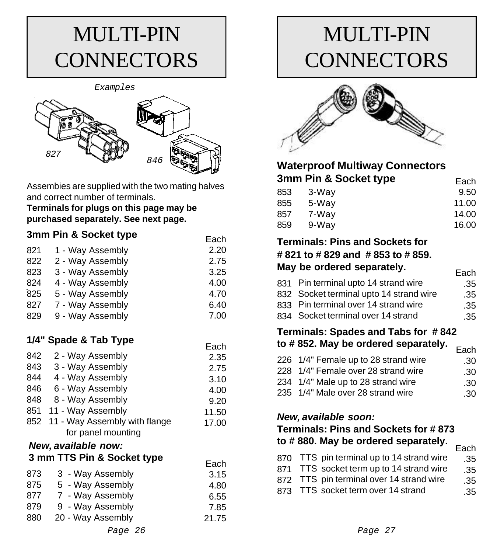## MULTI-PIN **CONNECTORS**



Assembies are supplied with the two mating halves and correct number of terminals.

Each

**Terminals for plugs on this page may be purchased separately. See next page.**

### **3mm Pin & Socket type**

| 821 | 1 - Way Assembly              | 2.20  |  |  |  |  |
|-----|-------------------------------|-------|--|--|--|--|
| 822 | 2 - Way Assembly              | 2.75  |  |  |  |  |
| 823 | 3 - Way Assembly              | 3.25  |  |  |  |  |
| 824 | 4 - Way Assembly              | 4.00  |  |  |  |  |
| 825 | 5 - Way Assembly              | 4.70  |  |  |  |  |
| 827 | 7 - Way Assembly              | 6.40  |  |  |  |  |
| 829 | 9 - Way Assembly              | 7.00  |  |  |  |  |
|     |                               |       |  |  |  |  |
|     | 1/4" Spade & Tab Type         |       |  |  |  |  |
|     |                               | Each  |  |  |  |  |
| 842 | 2 - Way Assembly              | 2.35  |  |  |  |  |
| 843 | 3 - Way Assembly              | 2.75  |  |  |  |  |
| 844 | 4 - Way Assembly              | 3.10  |  |  |  |  |
| 846 | 6 - Way Assembly              | 4.00  |  |  |  |  |
| 848 | 8 - Way Assembly              | 9.20  |  |  |  |  |
| 851 | 11 - Way Assembly             | 11.50 |  |  |  |  |
| 852 | 11 - Way Assembly with flange | 17.00 |  |  |  |  |
|     | for panel mounting            |       |  |  |  |  |
|     | New, available now:           |       |  |  |  |  |
|     | 3 mm TTS Pin & Socket type    |       |  |  |  |  |
|     |                               |       |  |  |  |  |

#### 3 - Way Assembly 5 - Way Assembly 7 - Way Assembly 9 - Way Assembly 20 - Way Assembly 873 875 877 879 880 3.15 4.80 6.55 7.85 21.75

## MULTI-PIN **CONNECTORS**



### **Waterproof Multiway Connectors 3mm Pin & Socket type**

|     | - - - - - - <b>. .</b> | ∟∝⊍   |
|-----|------------------------|-------|
| 853 | 3-Way                  | 9.50  |
| 855 | 5-Way                  | 11.00 |
| 857 | 7-Wav                  | 14.00 |
| 859 | 9-Wav                  | 16.00 |
|     |                        |       |

### **Terminals: Pins and Sockets for # 821 to # 829 and # 853 to # 859. May be ordered separately.**

| 831 Pin terminal upto 14 strand wire    | .35 |
|-----------------------------------------|-----|
| 832 Socket terminal upto 14 strand wire | .35 |
| 833 Pin terminal over 14 strand wire    | .35 |
| 834 Socket terminal over 14 strand      | .35 |

Each

Each

## **Terminals: Spades and Tabs for # 842 to # 852. May be ordered separately.** Each

|                                      | Eacn - |
|--------------------------------------|--------|
| 226 1/4" Female up to 28 strand wire | -30    |
| 228 1/4" Female over 28 strand wire  | .30    |
| 234 1/4" Male up to 28 strand wire   | .30    |
| 235 1/4" Male over 28 strand wire    | .30    |

### *New, available soon:*

## **Terminals: Pins and Sockets for # 873 to # 880. May be ordered separately.** Each

|                                           | Laut |
|-------------------------------------------|------|
| 870 TTS pin terminal up to 14 strand wire | .35  |
| 871 TTS socket term up to 14 strand wire  | .35  |
| 872 TTS pin terminal over 14 strand wire  | .35  |
| 873 TTS socket term over 14 strand        | .35  |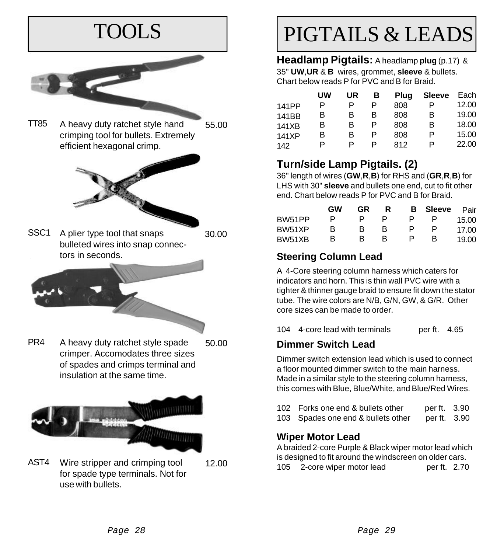

- 
- Wire stripper and crimping tool for spade type terminals. Not for use with bullets. 12.00 AST4

## PIGTAILS & LEADS

**Headlamp Pigtails:** A headlamp **plug** (p.17) & 35" **UW**,**UR** & **B** wires, grommet, **sleeve** & bullets. Chart below reads P for PVC and B for Braid.

|       | UW | UR | в | Plug | <b>Sleeve</b> | Each  |
|-------|----|----|---|------|---------------|-------|
| 141PP | P  | P  | P | 808  | P             | 12.00 |
| 141BB | в  | в  | в | 808  | в             | 19.00 |
| 141XB | в  | в  | P | 808  | В             | 18.00 |
| 141XP | в  | в  | P | 808  | Р             | 15.00 |
| 142   | P  | P  | P | 812  | P             | 22.00 |

## **Turn/side Lamp Pigtails. (2)**

36" length of wires (**GW**,**R**,**B**) for RHS and (**GR**,**R**,**B**) for LHS with 30" **sleeve** and bullets one end, cut to fit other end. Chart below reads P for PVC and B for Braid.

|        | GW | GR | R | в. | Sleeve | Pair  |
|--------|----|----|---|----|--------|-------|
| BW51PP | Р  |    | P | Р  |        | 15.00 |
| BW51XP | в  | к  | R | Р  | P      | 17.00 |
| BW51XB | R  | к  | R | Р  | в      | 19 OO |

## **Steering Column Lead**

A 4-Core steering column harness which caters for indicators and horn. This is thin wall PVC wire with a tighter & thinner gauge braid to ensure fit down the stator tube. The wire colors are N/B, G/N, GW, & G/R. Other core sizes can be made to order.

104 4-core lead with terminals per ft. 4.65

## **Dimmer Switch Lead**

Dimmer switch extension lead which is used to connect a floor mounted dimmer switch to the main harness. Made in a similar style to the steering column harness, this comes with Blue, Blue/White, and Blue/Red Wires.

| 102 Forks one end & bullets other  | per ft. 3.90 |  |
|------------------------------------|--------------|--|
| 103 Spades one end & bullets other | per ft. 3.90 |  |

## **Wiper Motor Lead**

A braided 2-core Purple & Black wiper motor lead which is designed to fit around the windscreen on older cars. 105 2-core wiper motor lead per ft. 2.70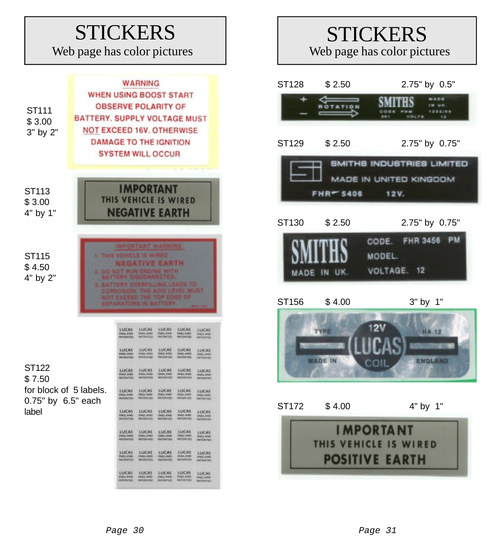## **STICKERS**

Web page has color pictures



## **STICKERS**

Web page has color pictures

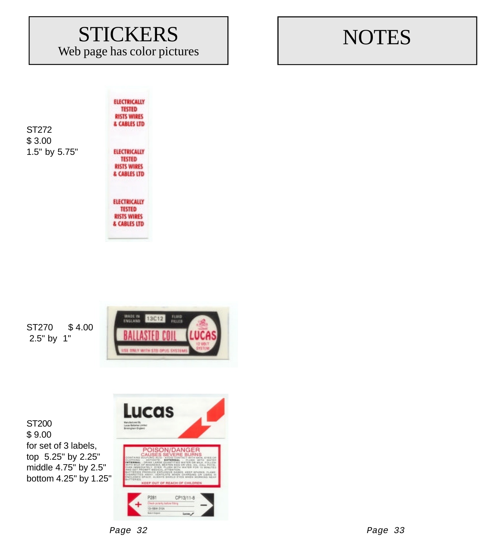## **STICKERS**

Web page has color pictures

**ELECTRICALLY TESTED** 

## **NOTES**

ST272 \$ 3.00 1.5" by 5.75"

**RISTS WIRES** & CABLES LTD **ELECTRICALLY TESTED RISTS WIRES** & CABLES LTD **ELECTRICALLY TESTED** 

**RISTS WIRES** & CABLES LTD

ST270 \$ 4.00 2.5" by 1"



ST200 \$ 9.00 for set of 3 labels, top 5.25" by 2.25" middle 4.75" by 2.5" bottom 4.25" by 1.25"

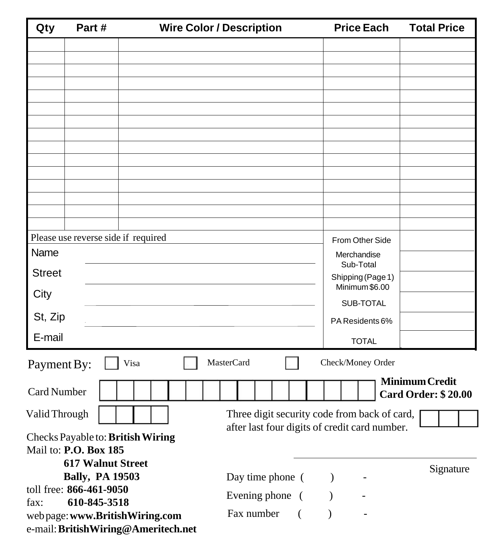| Qty                | Part#                                                                                                          |                                      | <b>Wire Color / Description</b> | <b>Price Each</b>        | <b>Total Price</b>                                  |  |
|--------------------|----------------------------------------------------------------------------------------------------------------|--------------------------------------|---------------------------------|--------------------------|-----------------------------------------------------|--|
|                    |                                                                                                                |                                      |                                 |                          |                                                     |  |
|                    |                                                                                                                |                                      |                                 |                          |                                                     |  |
|                    |                                                                                                                |                                      |                                 |                          |                                                     |  |
|                    |                                                                                                                |                                      |                                 |                          |                                                     |  |
|                    |                                                                                                                |                                      |                                 |                          |                                                     |  |
|                    |                                                                                                                |                                      |                                 |                          |                                                     |  |
|                    |                                                                                                                |                                      |                                 |                          |                                                     |  |
|                    |                                                                                                                |                                      |                                 |                          |                                                     |  |
|                    |                                                                                                                |                                      |                                 |                          |                                                     |  |
|                    |                                                                                                                |                                      |                                 |                          |                                                     |  |
|                    |                                                                                                                |                                      |                                 |                          |                                                     |  |
|                    |                                                                                                                |                                      |                                 |                          |                                                     |  |
|                    | Please use reverse side if required                                                                            |                                      |                                 | From Other Side          |                                                     |  |
| Name               |                                                                                                                |                                      |                                 | Merchandise<br>Sub-Total |                                                     |  |
| <b>Street</b>      |                                                                                                                |                                      |                                 | Shipping (Page 1)        |                                                     |  |
| City               |                                                                                                                |                                      |                                 | Minimum \$6.00           |                                                     |  |
|                    |                                                                                                                |                                      |                                 | SUB-TOTAL                |                                                     |  |
| St, Zip            |                                                                                                                |                                      |                                 | PA Residents 6%          |                                                     |  |
| E-mail             |                                                                                                                |                                      |                                 | <b>TOTAL</b>             |                                                     |  |
| Payment By:        |                                                                                                                | Visa                                 | <b>MasterCard</b>               | Check/Money Order        |                                                     |  |
| <b>Card Number</b> |                                                                                                                |                                      |                                 |                          | <b>Minimum Credit</b><br><b>Card Order: \$20.00</b> |  |
|                    | Three digit security code from back of card,<br>Valid Through<br>after last four digits of credit card number. |                                      |                                 |                          |                                                     |  |
|                    |                                                                                                                | Checks Payable to: British Wiring    |                                 |                          |                                                     |  |
|                    | Mail to: P.O. Box 185                                                                                          |                                      |                                 |                          |                                                     |  |
|                    | <b>617 Walnut Street</b>                                                                                       |                                      |                                 |                          | Signature                                           |  |
|                    | <b>Bally, PA 19503</b><br>toll free: 866-461-9050                                                              |                                      | Day time phone (                | $\lambda$                |                                                     |  |
| fax:               | 610-845-3518                                                                                                   |                                      | Evening phone (                 |                          |                                                     |  |
|                    |                                                                                                                | web page: www.BritishWiring.com      | Fax number<br>$\left($          |                          |                                                     |  |
|                    |                                                                                                                | e-mail: British Wiring@Ameritech.net |                                 |                          |                                                     |  |